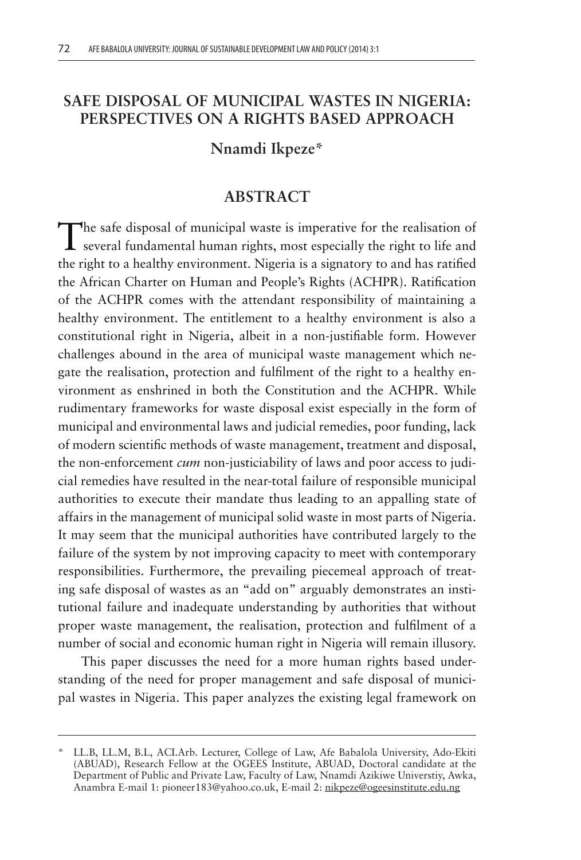# **SAFE DISPOSAL OF MUNICIPAL WASTES IN NIGERIA: PERSPECTIVES ON A RIGHTS BASED APPROACH**

#### **Nnamdi Ikpeze\***

# **ABSTRACT**

The safe disposal of municipal waste is imperative for the realisation of several fundamental human rights, most especially the right to life and the right to a healthy environment. Nigeria is a signatory to and has ratified the African Charter on Human and People's Rights (ACHPR). Ratification of the ACHPR comes with the attendant responsibility of maintaining a healthy environment. The entitlement to a healthy environment is also a constitutional right in Nigeria, albeit in a non-justifiable form. However challenges abound in the area of municipal waste management which negate the realisation, protection and fulfilment of the right to a healthy environment as enshrined in both the Constitution and the ACHPR. While rudimentary frameworks for waste disposal exist especially in the form of municipal and environmental laws and judicial remedies, poor funding, lack of modern scientific methods of waste management, treatment and disposal, the non-enforcement *cum* non-justiciability of laws and poor access to judicial remedies have resulted in the near-total failure of responsible municipal authorities to execute their mandate thus leading to an appalling state of affairs in the management of municipal solid waste in most parts of Nigeria. It may seem that the municipal authorities have contributed largely to the failure of the system by not improving capacity to meet with contemporary responsibilities. Furthermore, the prevailing piecemeal approach of treating safe disposal of wastes as an "add on" arguably demonstrates an institutional failure and inadequate understanding by authorities that without proper waste management, the realisation, protection and fulfilment of a number of social and economic human right in Nigeria will remain illusory.

This paper discusses the need for a more human rights based understanding of the need for proper management and safe disposal of municipal wastes in Nigeria. This paper analyzes the existing legal framework on

<sup>\*</sup> LL.B, LL.M, B.L, ACI.Arb. Lecturer, College of Law, Afe Babalola University, Ado-Ekiti (ABUAD), Research Fellow at the OGEES Institute, ABUAD, Doctoral candidate at the Department of Public and Private Law, Faculty of Law, Nnamdi Azikiwe Universtiy, Awka, Anambra E-mail 1: pioneer183@yahoo.co.uk, E-mail 2: nikpeze@ogeesinstitute.edu.ng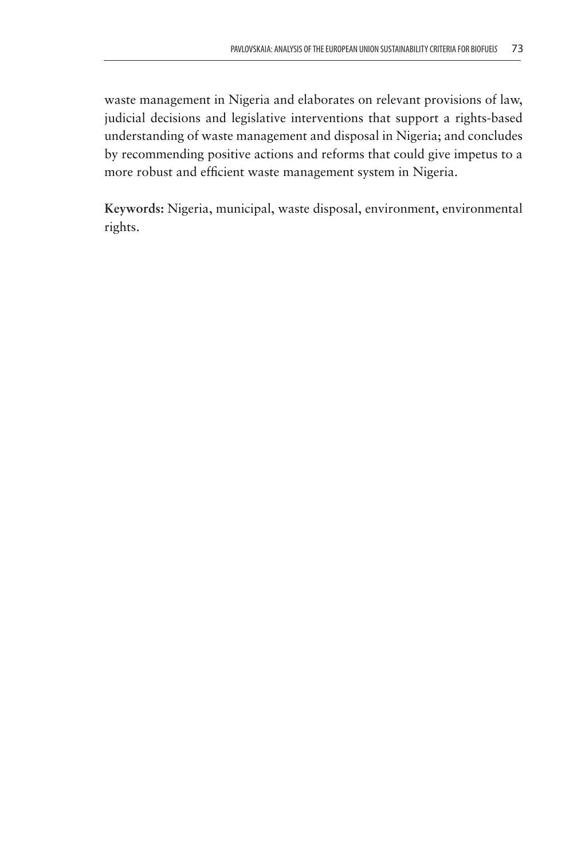waste management in Nigeria and elaborates on relevant provisions of law, judicial decisions and legislative interventions that support a rights-based understanding of waste management and disposal in Nigeria; and concludes by recommending positive actions and reforms that could give impetus to a more robust and efficient waste management system in Nigeria.

**Keywords:** Nigeria, municipal, waste disposal, environment, environmental rights.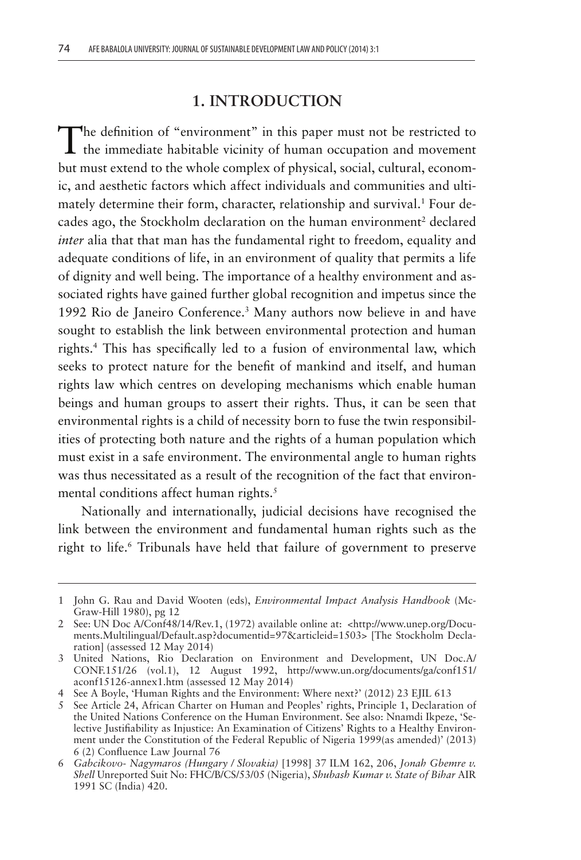#### **1. INTRODUCTION**

The definition of "environment" in this paper must not be restricted to the immediate habitable vicinity of human occupation and movement but must extend to the whole complex of physical, social, cultural, economic, and aesthetic factors which affect individuals and communities and ultimately determine their form, character, relationship and survival.<sup>1</sup> Four decades ago, the Stockholm declaration on the human environment<sup>2</sup> declared *inter* alia that that man has the fundamental right to freedom, equality and adequate conditions of life, in an environment of quality that permits a life of dignity and well being. The importance of a healthy environment and associated rights have gained further global recognition and impetus since the 1992 Rio de Janeiro Conference.3 Many authors now believe in and have sought to establish the link between environmental protection and human rights.4 This has specifically led to a fusion of environmental law, which seeks to protect nature for the benefit of mankind and itself, and human rights law which centres on developing mechanisms which enable human beings and human groups to assert their rights. Thus, it can be seen that environmental rights is a child of necessity born to fuse the twin responsibilities of protecting both nature and the rights of a human population which must exist in a safe environment. The environmental angle to human rights was thus necessitated as a result of the recognition of the fact that environmental conditions affect human rights.<sup>5</sup>

Nationally and internationally, judicial decisions have recognised the link between the environment and fundamental human rights such as the right to life.<sup>6</sup> Tribunals have held that failure of government to preserve

<sup>1</sup> John G. Rau and David Wooten (eds), *Environmental Impact Analysis Handbook* (Mc-Graw-Hill 1980), pg 12

<sup>2</sup> See: UN Doc A/Conf48/14/Rev.1, (1972) available online at: <http://www.unep.org/Documents.Multilingual/Default.asp?documentid=97&articleid=1503> [The Stockholm Declaration] (assessed 12 May 2014)

<sup>3</sup> United Nations, Rio Declaration on Environment and Development, UN Doc.A/ CONF.151/26 (vol.1), 12 August 1992, http://www.un.org/documents/ga/conf151/ aconf15126-annex1.htm (assessed 12 May 2014)

<sup>4</sup> See A Boyle, 'Human Rights and the Environment: Where next?' (2012) 23 EJIL 613

<sup>5</sup> See Article 24, African Charter on Human and Peoples' rights, Principle 1, Declaration of the United Nations Conference on the Human Environment. See also: Nnamdi Ikpeze, 'Selective Justifiability as Injustice: An Examination of Citizens' Rights to a Healthy Environment under the Constitution of the Federal Republic of Nigeria 1999(as amended)' (2013) 6 (2) Confluence Law Journal 76

<sup>6</sup> *Gabcikovo- Nagymaros (Hungary / Slovakia)* [1998] 37 ILM 162, 206, *Jonah Gbemre v. Shell* Unreported Suit No: FHC/B/CS/53/05 (Nigeria), *Shubash Kumar v. State of Bihar* AIR 1991 SC (India) 420.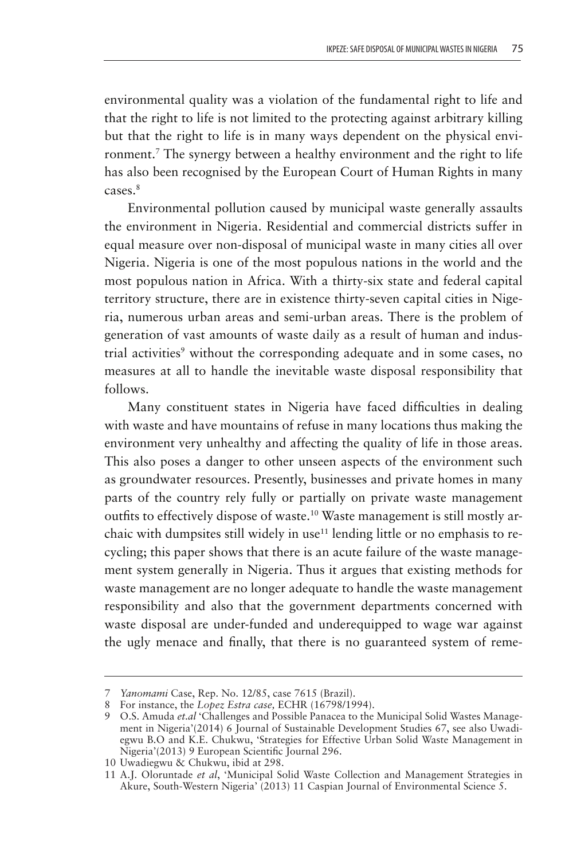environmental quality was a violation of the fundamental right to life and that the right to life is not limited to the protecting against arbitrary killing but that the right to life is in many ways dependent on the physical environment.<sup>7</sup> The synergy between a healthy environment and the right to life has also been recognised by the European Court of Human Rights in many cases.8

Environmental pollution caused by municipal waste generally assaults the environment in Nigeria. Residential and commercial districts suffer in equal measure over non-disposal of municipal waste in many cities all over Nigeria. Nigeria is one of the most populous nations in the world and the most populous nation in Africa. With a thirty-six state and federal capital territory structure, there are in existence thirty-seven capital cities in Nigeria, numerous urban areas and semi-urban areas. There is the problem of generation of vast amounts of waste daily as a result of human and industrial activities<sup>9</sup> without the corresponding adequate and in some cases, no measures at all to handle the inevitable waste disposal responsibility that follows.

Many constituent states in Nigeria have faced difficulties in dealing with waste and have mountains of refuse in many locations thus making the environment very unhealthy and affecting the quality of life in those areas. This also poses a danger to other unseen aspects of the environment such as groundwater resources. Presently, businesses and private homes in many parts of the country rely fully or partially on private waste management outfits to effectively dispose of waste.<sup>10</sup> Waste management is still mostly archaic with dumpsites still widely in use<sup>11</sup> lending little or no emphasis to recycling; this paper shows that there is an acute failure of the waste management system generally in Nigeria. Thus it argues that existing methods for waste management are no longer adequate to handle the waste management responsibility and also that the government departments concerned with waste disposal are under-funded and underequipped to wage war against the ugly menace and finally, that there is no guaranteed system of reme-

<sup>7</sup> *Yanomami* Case, Rep. No. 12/85, case 7615 (Brazil).

<sup>8</sup> For instance, the *Lopez Estra case*, ECHR (16798/1994).

<sup>9</sup> O.S. Amuda *et.al* 'Challenges and Possible Panacea to the Municipal Solid Wastes Management in Nigeria'(2014) 6 Journal of Sustainable Development Studies 67, see also Uwadiegwu B.O and K.E. Chukwu, 'Strategies for Effective Urban Solid Waste Management in Nigeria'(2013) 9 European Scientific Journal 296.

<sup>10</sup> Uwadiegwu & Chukwu, ibid at 298.

<sup>11</sup> A.J. Oloruntade *et al*, 'Municipal Solid Waste Collection and Management Strategies in Akure, South-Western Nigeria' (2013) 11 Caspian Journal of Environmental Science 5.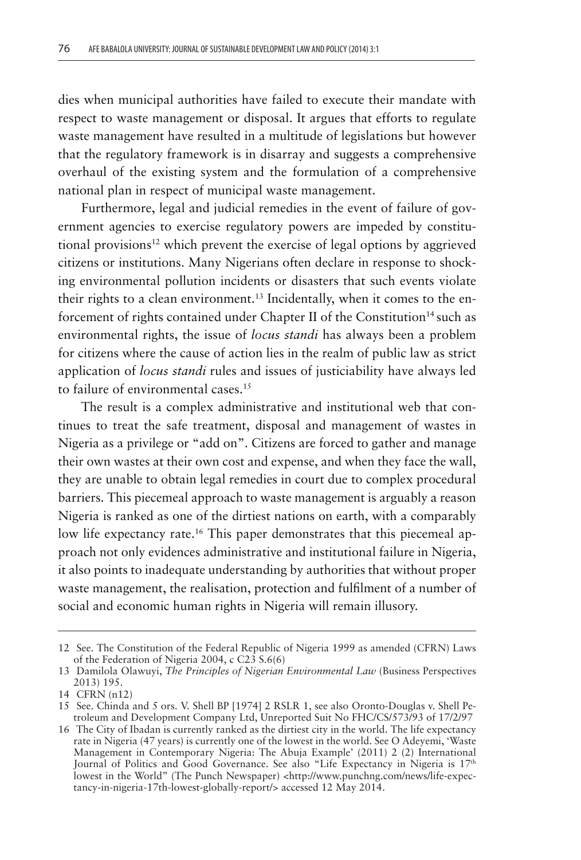dies when municipal authorities have failed to execute their mandate with respect to waste management or disposal. It argues that efforts to regulate waste management have resulted in a multitude of legislations but however that the regulatory framework is in disarray and suggests a comprehensive overhaul of the existing system and the formulation of a comprehensive national plan in respect of municipal waste management.

Furthermore, legal and judicial remedies in the event of failure of government agencies to exercise regulatory powers are impeded by constitutional provisions<sup>12</sup> which prevent the exercise of legal options by aggrieved citizens or institutions. Many Nigerians often declare in response to shocking environmental pollution incidents or disasters that such events violate their rights to a clean environment.<sup>13</sup> Incidentally, when it comes to the enforcement of rights contained under Chapter II of the Constitution<sup>14</sup> such as environmental rights, the issue of *locus standi* has always been a problem for citizens where the cause of action lies in the realm of public law as strict application of *locus standi* rules and issues of justiciability have always led to failure of environmental cases.<sup>15</sup>

The result is a complex administrative and institutional web that continues to treat the safe treatment, disposal and management of wastes in Nigeria as a privilege or "add on". Citizens are forced to gather and manage their own wastes at their own cost and expense, and when they face the wall, they are unable to obtain legal remedies in court due to complex procedural barriers. This piecemeal approach to waste management is arguably a reason Nigeria is ranked as one of the dirtiest nations on earth, with a comparably low life expectancy rate.<sup>16</sup> This paper demonstrates that this piecemeal approach not only evidences administrative and institutional failure in Nigeria, it also points to inadequate understanding by authorities that without proper waste management, the realisation, protection and fulfilment of a number of social and economic human rights in Nigeria will remain illusory.

<sup>12</sup> See. The Constitution of the Federal Republic of Nigeria 1999 as amended (CFRN) Laws of the Federation of Nigeria 2004, c C23 S.6(6)

<sup>13</sup> Damilola Olawuyi, *The Principles of Nigerian Environmental Law* (Business Perspectives 2013) 195.

<sup>14</sup> CFRN (n12)

<sup>15</sup> See. Chinda and 5 ors. V. Shell BP [1974] 2 RSLR 1, see also Oronto-Douglas v. Shell Petroleum and Development Company Ltd, Unreported Suit No FHC/CS/573/93 of 17/2/97

<sup>16</sup> The City of Ibadan is currently ranked as the dirtiest city in the world. The life expectancy rate in Nigeria (47 years) is currently one of the lowest in the world. See O Adeyemi, 'Waste Management in Contemporary Nigeria: The Abuja Example' (2011) 2 (2) International Journal of Politics and Good Governance. See also "Life Expectancy in Nigeria is 17th lowest in the World" (The Punch Newspaper) <http://www.punchng.com/news/life-expectancy-in-nigeria-17th-lowest-globally-report/> accessed 12 May 2014.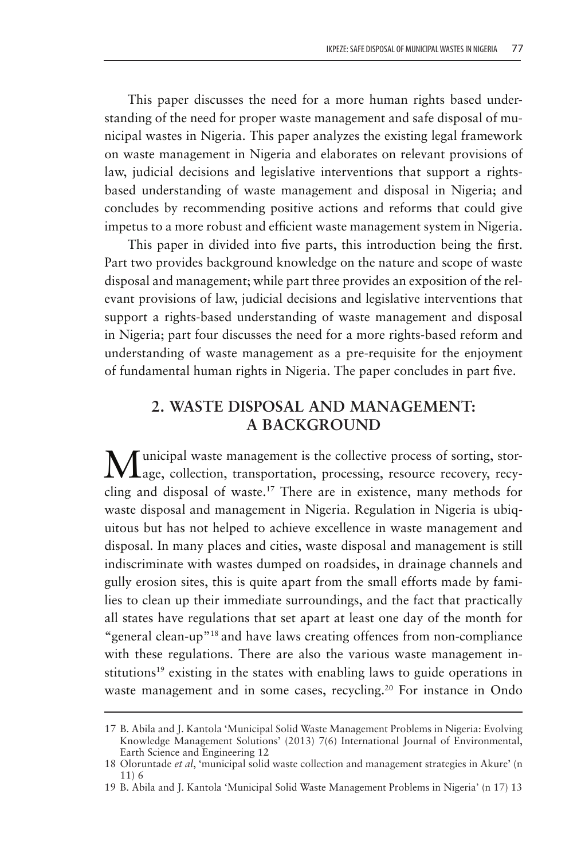This paper discusses the need for a more human rights based understanding of the need for proper waste management and safe disposal of municipal wastes in Nigeria. This paper analyzes the existing legal framework on waste management in Nigeria and elaborates on relevant provisions of law, judicial decisions and legislative interventions that support a rightsbased understanding of waste management and disposal in Nigeria; and concludes by recommending positive actions and reforms that could give impetus to a more robust and efficient waste management system in Nigeria.

This paper in divided into five parts, this introduction being the first. Part two provides background knowledge on the nature and scope of waste disposal and management; while part three provides an exposition of the relevant provisions of law, judicial decisions and legislative interventions that support a rights-based understanding of waste management and disposal in Nigeria; part four discusses the need for a more rights-based reform and understanding of waste management as a pre-requisite for the enjoyment of fundamental human rights in Nigeria. The paper concludes in part five.

# **2. WASTE DISPOSAL AND MANAGEMENT: A BACKGROUND**

 $\mathbf M$ unicipal waste management is the collective process of sorting, stor-<br> $\mathbf M$ age, collection, transportation, processing, resource recovery, recycling and disposal of waste.17 There are in existence, many methods for waste disposal and management in Nigeria. Regulation in Nigeria is ubiquitous but has not helped to achieve excellence in waste management and disposal. In many places and cities, waste disposal and management is still indiscriminate with wastes dumped on roadsides, in drainage channels and gully erosion sites, this is quite apart from the small efforts made by families to clean up their immediate surroundings, and the fact that practically all states have regulations that set apart at least one day of the month for "general clean-up"18 and have laws creating offences from non-compliance with these regulations. There are also the various waste management institutions<sup>19</sup> existing in the states with enabling laws to guide operations in waste management and in some cases, recycling.<sup>20</sup> For instance in Ondo

<sup>17</sup> B. Abila and J. Kantola 'Municipal Solid Waste Management Problems in Nigeria: Evolving Knowledge Management Solutions' (2013) 7(6) International Journal of Environmental, Earth Science and Engineering 12

<sup>18</sup> Oloruntade *et al*, 'municipal solid waste collection and management strategies in Akure' (n 11) 6

<sup>19</sup> B. Abila and J. Kantola 'Municipal Solid Waste Management Problems in Nigeria' (n 17) 13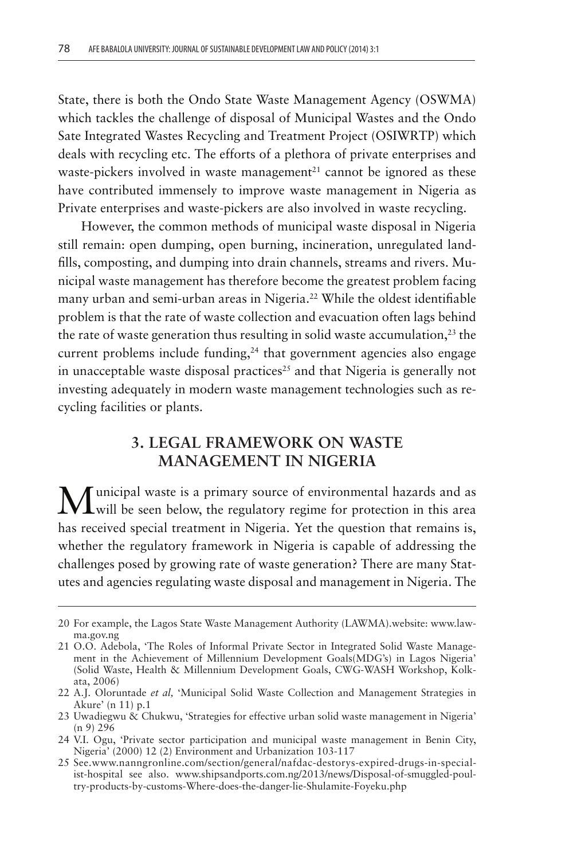State, there is both the Ondo State Waste Management Agency (OSWMA) which tackles the challenge of disposal of Municipal Wastes and the Ondo Sate Integrated Wastes Recycling and Treatment Project (OSIWRTP) which deals with recycling etc. The efforts of a plethora of private enterprises and waste-pickers involved in waste management<sup>21</sup> cannot be ignored as these have contributed immensely to improve waste management in Nigeria as Private enterprises and waste-pickers are also involved in waste recycling.

However, the common methods of municipal waste disposal in Nigeria still remain: open dumping, open burning, incineration, unregulated landfills, composting, and dumping into drain channels, streams and rivers. Municipal waste management has therefore become the greatest problem facing many urban and semi-urban areas in Nigeria.<sup>22</sup> While the oldest identifiable problem is that the rate of waste collection and evacuation often lags behind the rate of waste generation thus resulting in solid waste accumulation, $^{23}$  the current problems include funding, $24$  that government agencies also engage in unacceptable waste disposal practices<sup>25</sup> and that Nigeria is generally not investing adequately in modern waste management technologies such as recycling facilities or plants.

# **3. LEGAL FRAMEWORK ON WASTE MANAGEMENT IN NIGERIA**

 $\mathbf M$ unicipal waste is a primary source of environmental hazards and as will be seen below, the regulatory regime for protection in this area has received special treatment in Nigeria. Yet the question that remains is, whether the regulatory framework in Nigeria is capable of addressing the challenges posed by growing rate of waste generation? There are many Statutes and agencies regulating waste disposal and management in Nigeria. The

<sup>20</sup> For example, the Lagos State Waste Management Authority (LAWMA).website: www.lawma.gov.ng

<sup>21</sup> O.O. Adebola, 'The Roles of Informal Private Sector in Integrated Solid Waste Management in the Achievement of Millennium Development Goals(MDG's) in Lagos Nigeria' (Solid Waste, Health & Millennium Development Goals, CWG-WASH Workshop, Kolkata, 2006)

<sup>22</sup> A.J. Oloruntade *et al,* 'Municipal Solid Waste Collection and Management Strategies in Akure' (n 11) p.1

<sup>23</sup> Uwadiegwu & Chukwu, 'Strategies for effective urban solid waste management in Nigeria' (n 9) 296

<sup>24</sup> V.I. Ogu, 'Private sector participation and municipal waste management in Benin City, Nigeria' (2000) 12 (2) Environment and Urbanization 103-117

<sup>25</sup> See.www.nanngronline.com/section/general/nafdac-destorys-expired-drugs-in-specialist-hospital see also. www.shipsandports.com.ng/2013/news/Disposal-of-smuggled-poultry-products-by-customs-Where-does-the-danger-lie-Shulamite-Foyeku.php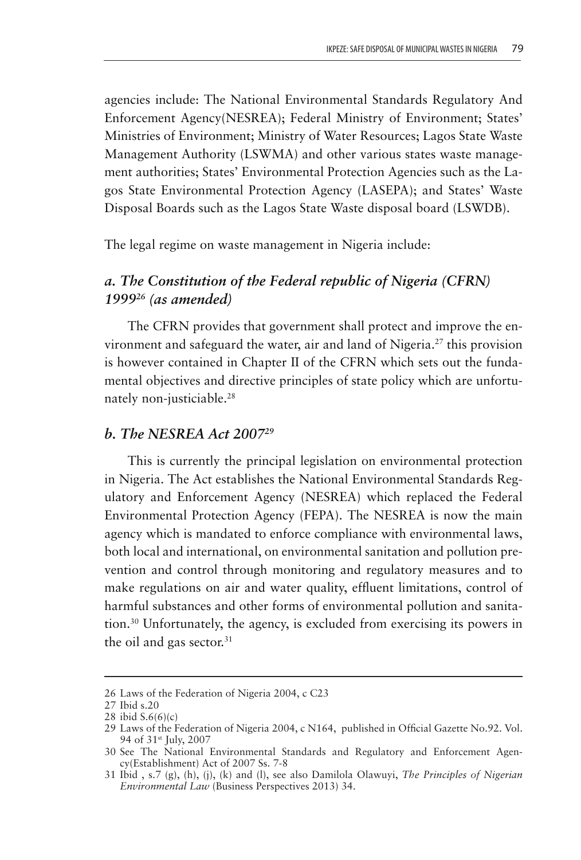agencies include: The National Environmental Standards Regulatory And Enforcement Agency(NESREA); Federal Ministry of Environment; States' Ministries of Environment; Ministry of Water Resources; Lagos State Waste Management Authority (LSWMA) and other various states waste management authorities; States' Environmental Protection Agencies such as the Lagos State Environmental Protection Agency (LASEPA); and States' Waste Disposal Boards such as the Lagos State Waste disposal board (LSWDB).

The legal regime on waste management in Nigeria include:

### *a. The Constitution of the Federal republic of Nigeria (CFRN) 199926 (as amended)*

The CFRN provides that government shall protect and improve the environment and safeguard the water, air and land of Nigeria.<sup>27</sup> this provision is however contained in Chapter II of the CFRN which sets out the fundamental objectives and directive principles of state policy which are unfortunately non-justiciable.<sup>28</sup>

#### *b. The NESREA Act 200729*

This is currently the principal legislation on environmental protection in Nigeria. The Act establishes the National Environmental Standards Regulatory and Enforcement Agency (NESREA) which replaced the Federal Environmental Protection Agency (FEPA). The NESREA is now the main agency which is mandated to enforce compliance with environmental laws, both local and international, on environmental sanitation and pollution prevention and control through monitoring and regulatory measures and to make regulations on air and water quality, effluent limitations, control of harmful substances and other forms of environmental pollution and sanitation.30 Unfortunately, the agency, is excluded from exercising its powers in the oil and gas sector. $31$ 

<sup>26</sup> Laws of the Federation of Nigeria 2004, c C23

<sup>27</sup> Ibid s.20

<sup>28</sup> ibid S.6(6)(c)

<sup>29</sup> Laws of the Federation of Nigeria 2004, c N164, published in Official Gazette No.92. Vol. 94 of 31st July, 2007

<sup>30</sup> See The National Environmental Standards and Regulatory and Enforcement Agency(Establishment) Act of 2007 Ss. 7-8

<sup>31</sup> Ibid , s.7 (g), (h), (j), (k) and (l), see also Damilola Olawuyi, *The Principles of Nigerian Environmental Law* (Business Perspectives 2013) 34.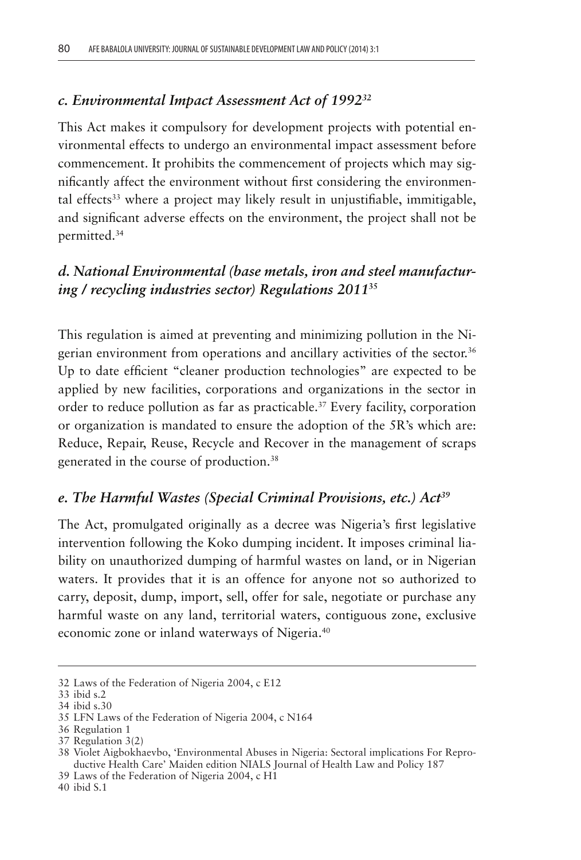#### *c. Environmental Impact Assessment Act of 199232*

This Act makes it compulsory for development projects with potential environmental effects to undergo an environmental impact assessment before commencement. It prohibits the commencement of projects which may significantly affect the environment without first considering the environmental effects<sup>33</sup> where a project may likely result in unjustifiable, immitigable, and significant adverse effects on the environment, the project shall not be permitted.34

# *d. National Environmental (base metals, iron and steel manufacturing / recycling industries sector) Regulations 2011***<sup>35</sup>**

This regulation is aimed at preventing and minimizing pollution in the Nigerian environment from operations and ancillary activities of the sector.<sup>36</sup> Up to date efficient "cleaner production technologies" are expected to be applied by new facilities, corporations and organizations in the sector in order to reduce pollution as far as practicable.<sup>37</sup> Every facility, corporation or organization is mandated to ensure the adoption of the 5R's which are: Reduce, Repair, Reuse, Recycle and Recover in the management of scraps generated in the course of production.38

#### *e. The Harmful Wastes (Special Criminal Provisions, etc.) Act39*

The Act, promulgated originally as a decree was Nigeria's first legislative intervention following the Koko dumping incident. It imposes criminal liability on unauthorized dumping of harmful wastes on land, or in Nigerian waters. It provides that it is an offence for anyone not so authorized to carry, deposit, dump, import, sell, offer for sale, negotiate or purchase any harmful waste on any land, territorial waters, contiguous zone, exclusive economic zone or inland waterways of Nigeria.40

40 ibid S.1

<sup>32</sup> Laws of the Federation of Nigeria 2004, c E12

<sup>33</sup> ibid s.2

<sup>34</sup> ibid s.30

<sup>35</sup> LFN Laws of the Federation of Nigeria 2004, c N164

<sup>36</sup> Regulation 1

<sup>37</sup> Regulation 3(2)

<sup>38</sup> Violet Aigbokhaevbo, 'Environmental Abuses in Nigeria: Sectoral implications For Reproductive Health Care' Maiden edition NIALS Journal of Health Law and Policy 187

<sup>39</sup> Laws of the Federation of Nigeria 2004, c H1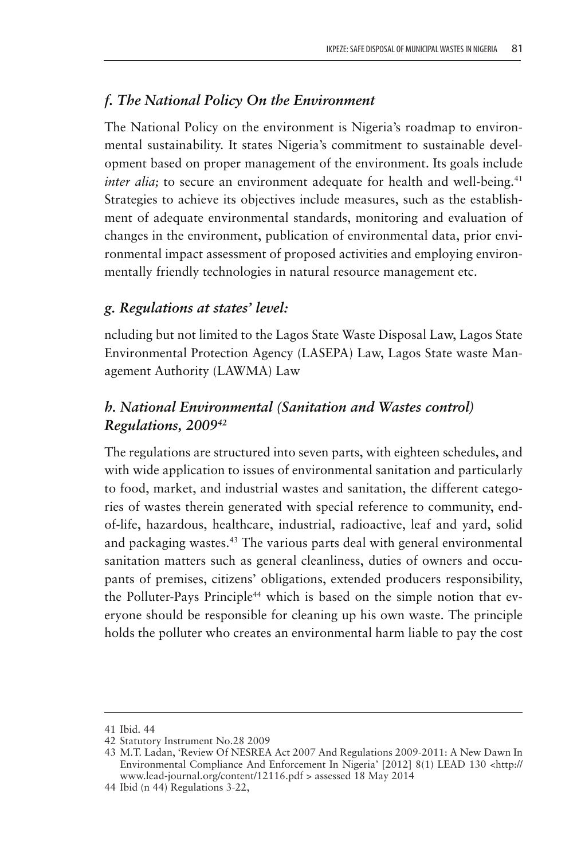#### *f. The National Policy On the Environment*

The National Policy on the environment is Nigeria's roadmap to environmental sustainability. It states Nigeria's commitment to sustainable development based on proper management of the environment. Its goals include *inter alia*; to secure an environment adequate for health and well-being.<sup>41</sup> Strategies to achieve its objectives include measures, such as the establishment of adequate environmental standards, monitoring and evaluation of changes in the environment, publication of environmental data, prior environmental impact assessment of proposed activities and employing environmentally friendly technologies in natural resource management etc.

#### *g. Regulations at states' level:*

ncluding but not limited to the Lagos State Waste Disposal Law, Lagos State Environmental Protection Agency (LASEPA) Law, Lagos State waste Management Authority (LAWMA) Law

# *h. National Environmental (Sanitation and Wastes control) Regulations, 200942*

The regulations are structured into seven parts, with eighteen schedules, and with wide application to issues of environmental sanitation and particularly to food, market, and industrial wastes and sanitation, the different categories of wastes therein generated with special reference to community, endof-life, hazardous, healthcare, industrial, radioactive, leaf and yard, solid and packaging wastes.43 The various parts deal with general environmental sanitation matters such as general cleanliness, duties of owners and occupants of premises, citizens' obligations, extended producers responsibility, the Polluter-Pays Principle<sup>44</sup> which is based on the simple notion that everyone should be responsible for cleaning up his own waste. The principle holds the polluter who creates an environmental harm liable to pay the cost

<sup>41</sup> Ibid. 44

<sup>42</sup> Statutory Instrument No.28 2009

<sup>43</sup> M.T. Ladan, 'Review Of NESREA Act 2007 And Regulations 2009-2011: A New Dawn In Environmental Compliance And Enforcement In Nigeria' [2012] 8(1) LEAD 130 <http:// www.lead-journal.org/content/12116.pdf > assessed 18 May 2014

<sup>44</sup> Ibid (n 44) Regulations 3-22,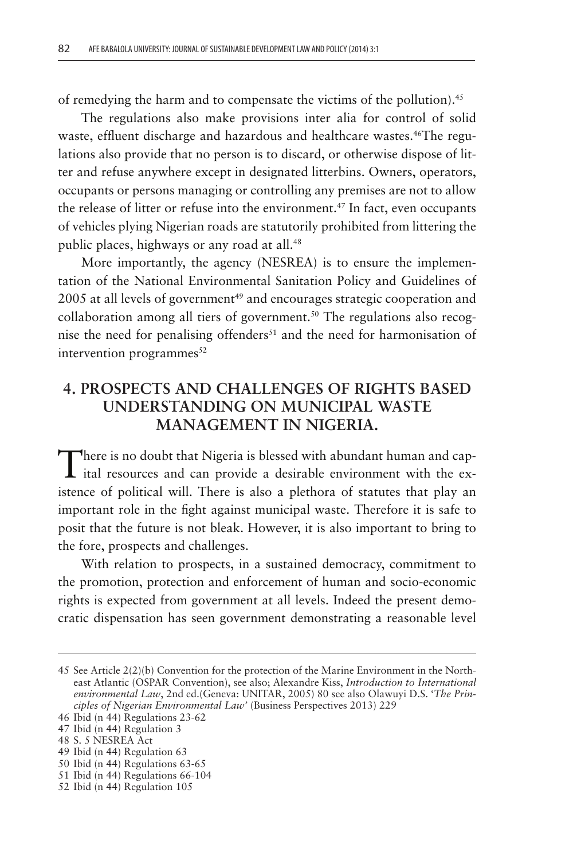of remedying the harm and to compensate the victims of the pollution).<sup>45</sup>

The regulations also make provisions inter alia for control of solid waste, effluent discharge and hazardous and healthcare wastes.<sup>46</sup>The regulations also provide that no person is to discard, or otherwise dispose of litter and refuse anywhere except in designated litterbins. Owners, operators, occupants or persons managing or controlling any premises are not to allow the release of litter or refuse into the environment.<sup>47</sup> In fact, even occupants of vehicles plying Nigerian roads are statutorily prohibited from littering the public places, highways or any road at all.<sup>48</sup>

More importantly, the agency (NESREA) is to ensure the implementation of the National Environmental Sanitation Policy and Guidelines of 2005 at all levels of government<sup>49</sup> and encourages strategic cooperation and collaboration among all tiers of government.<sup>50</sup> The regulations also recognise the need for penalising offenders $51$  and the need for harmonisation of intervention programmes $52$ 

# **4. PROSPECTS AND CHALLENGES OF RIGHTS BASED UNDERSTANDING ON MUNICIPAL WASTE MANAGEMENT IN NIGERIA.**

There is no doubt that Nigeria is blessed with abundant human and cap-<br>ital resources and can provide a desirable environment with the existence of political will. There is also a plethora of statutes that play an important role in the fight against municipal waste. Therefore it is safe to posit that the future is not bleak. However, it is also important to bring to the fore, prospects and challenges.

With relation to prospects, in a sustained democracy, commitment to the promotion, protection and enforcement of human and socio-economic rights is expected from government at all levels. Indeed the present democratic dispensation has seen government demonstrating a reasonable level

50 Ibid (n 44) Regulations 63-65

<sup>45</sup> See Article 2(2)(b) Convention for the protection of the Marine Environment in the Northeast Atlantic (OSPAR Convention), see also; Alexandre Kiss, *Introduction to International environmental Law*, 2nd ed.(Geneva: UNITAR, 2005) 80 see also Olawuyi D.S. '*The Principles of Nigerian Environmental Law'* (Business Perspectives 2013) 229

<sup>46</sup> Ibid (n 44) Regulations 23-62

<sup>47</sup> Ibid (n 44) Regulation 3

<sup>48</sup> S. 5 NESREA Act

<sup>49</sup> Ibid (n 44) Regulation 63

<sup>51</sup> Ibid (n 44) Regulations 66-104

<sup>52</sup> Ibid (n 44) Regulation 105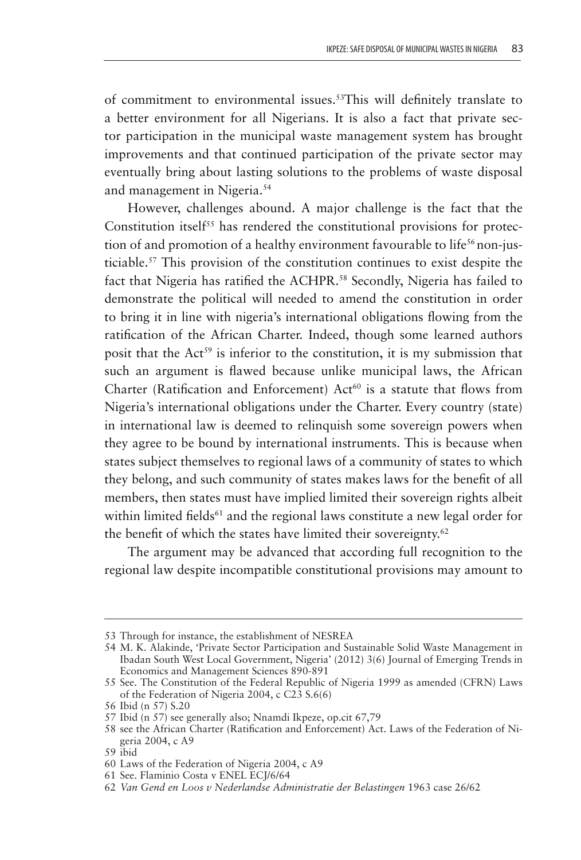of commitment to environmental issues.<sup>53</sup>This will definitely translate to a better environment for all Nigerians. It is also a fact that private sector participation in the municipal waste management system has brought improvements and that continued participation of the private sector may eventually bring about lasting solutions to the problems of waste disposal and management in Nigeria.54

However, challenges abound. A major challenge is the fact that the Constitution itsel $f^{55}$  has rendered the constitutional provisions for protection of and promotion of a healthy environment favourable to life<sup>56</sup> non-justiciable.57 This provision of the constitution continues to exist despite the fact that Nigeria has ratified the ACHPR.<sup>58</sup> Secondly, Nigeria has failed to demonstrate the political will needed to amend the constitution in order to bring it in line with nigeria's international obligations flowing from the ratification of the African Charter. Indeed, though some learned authors posit that the  $Act^{59}$  is inferior to the constitution, it is my submission that such an argument is flawed because unlike municipal laws, the African Charter (Ratification and Enforcement)  $Act^{60}$  is a statute that flows from Nigeria's international obligations under the Charter. Every country (state) in international law is deemed to relinquish some sovereign powers when they agree to be bound by international instruments. This is because when states subject themselves to regional laws of a community of states to which they belong, and such community of states makes laws for the benefit of all members, then states must have implied limited their sovereign rights albeit within limited fields $61$  and the regional laws constitute a new legal order for the benefit of which the states have limited their sovereignty. $62$ 

The argument may be advanced that according full recognition to the regional law despite incompatible constitutional provisions may amount to

<sup>53</sup> Through for instance, the establishment of NESREA

<sup>54</sup> M. K. Alakinde, 'Private Sector Participation and Sustainable Solid Waste Management in Ibadan South West Local Government, Nigeria' (2012) 3(6) Journal of Emerging Trends in Economics and Management Sciences 890-891

<sup>55</sup> See. The Constitution of the Federal Republic of Nigeria 1999 as amended (CFRN) Laws of the Federation of Nigeria 2004, c  $C<sub>23</sub>$  S.6(6)

<sup>56</sup> Ibid (n 57) S.20

<sup>57</sup> Ibid (n 57) see generally also; Nnamdi Ikpeze, op.cit 67,79

<sup>58</sup> see the African Charter (Ratification and Enforcement) Act. Laws of the Federation of Nigeria 2004, c A9

<sup>59</sup> ibid

<sup>60</sup> Laws of the Federation of Nigeria 2004, c A9

<sup>61</sup> See. Flaminio Costa v ENEL ECJ/6/64

<sup>62</sup> *Van Gend en Loos v Nederlandse Administratie der Belastingen* 1963 case 26/62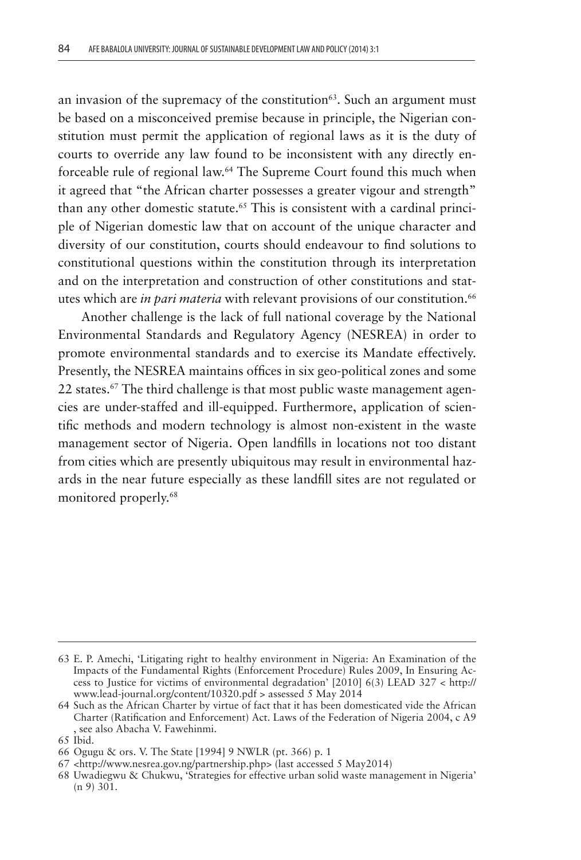an invasion of the supremacy of the constitution<sup>63</sup>. Such an argument must be based on a misconceived premise because in principle, the Nigerian constitution must permit the application of regional laws as it is the duty of courts to override any law found to be inconsistent with any directly enforceable rule of regional law.64 The Supreme Court found this much when it agreed that "the African charter possesses a greater vigour and strength" than any other domestic statute.<sup>65</sup> This is consistent with a cardinal principle of Nigerian domestic law that on account of the unique character and diversity of our constitution, courts should endeavour to find solutions to constitutional questions within the constitution through its interpretation and on the interpretation and construction of other constitutions and statutes which are *in pari materia* with relevant provisions of our constitution.<sup>66</sup>

Another challenge is the lack of full national coverage by the National Environmental Standards and Regulatory Agency (NESREA) in order to promote environmental standards and to exercise its Mandate effectively. Presently, the NESREA maintains offices in six geo-political zones and some 22 states.<sup>67</sup> The third challenge is that most public waste management agencies are under-staffed and ill-equipped. Furthermore, application of scientific methods and modern technology is almost non-existent in the waste management sector of Nigeria. Open landfills in locations not too distant from cities which are presently ubiquitous may result in environmental hazards in the near future especially as these landfill sites are not regulated or monitored properly.68

<sup>63</sup> E. P. Amechi, 'Litigating right to healthy environment in Nigeria: An Examination of the Impacts of the Fundamental Rights (Enforcement Procedure) Rules 2009, In Ensuring Access to Justice for victims of environmental degradation' [2010] 6(3) LEAD 327 < http:// www.lead-journal.org/content/10320.pdf > assessed 5 May 2014

<sup>64</sup> Such as the African Charter by virtue of fact that it has been domesticated vide the African Charter (Ratification and Enforcement) Act. Laws of the Federation of Nigeria 2004, c A9 , see also Abacha V. Fawehinmi.

<sup>65</sup> Ibid.

<sup>66</sup> Ogugu & ors. V. The State [1994] 9 NWLR (pt. 366) p. 1

<sup>67</sup> <http://www.nesrea.gov.ng/partnership.php> (last accessed 5 May2014)

<sup>68</sup> Uwadiegwu & Chukwu, 'Strategies for effective urban solid waste management in Nigeria' (n 9) 301.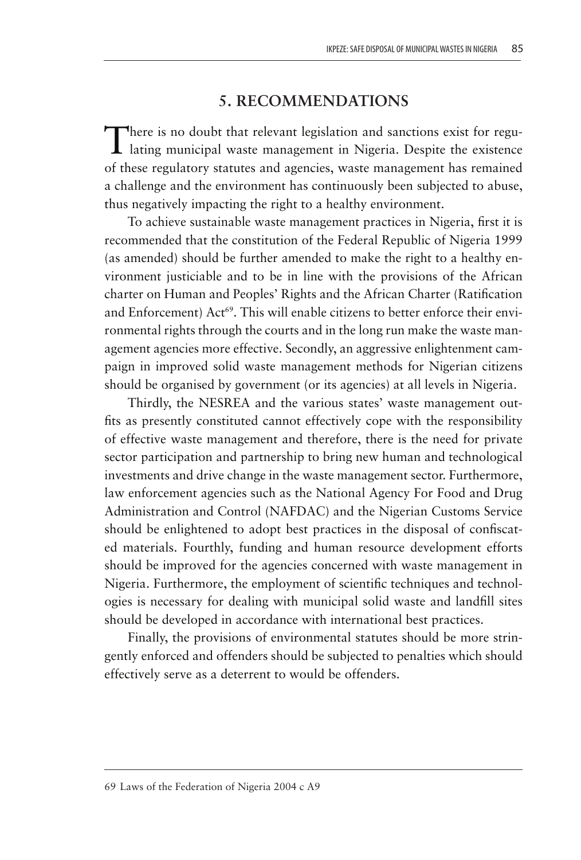# **5. RECOMMENDATIONS**

There is no doubt that relevant legislation and sanctions exist for regu-lating municipal waste management in Nigeria. Despite the existence of these regulatory statutes and agencies, waste management has remained a challenge and the environment has continuously been subjected to abuse, thus negatively impacting the right to a healthy environment.

To achieve sustainable waste management practices in Nigeria, first it is recommended that the constitution of the Federal Republic of Nigeria 1999 (as amended) should be further amended to make the right to a healthy environment justiciable and to be in line with the provisions of the African charter on Human and Peoples' Rights and the African Charter (Ratification and Enforcement) Act<sup>69</sup>. This will enable citizens to better enforce their environmental rights through the courts and in the long run make the waste management agencies more effective. Secondly, an aggressive enlightenment campaign in improved solid waste management methods for Nigerian citizens should be organised by government (or its agencies) at all levels in Nigeria.

Thirdly, the NESREA and the various states' waste management outfits as presently constituted cannot effectively cope with the responsibility of effective waste management and therefore, there is the need for private sector participation and partnership to bring new human and technological investments and drive change in the waste management sector. Furthermore, law enforcement agencies such as the National Agency For Food and Drug Administration and Control (NAFDAC) and the Nigerian Customs Service should be enlightened to adopt best practices in the disposal of confiscated materials. Fourthly, funding and human resource development efforts should be improved for the agencies concerned with waste management in Nigeria. Furthermore, the employment of scientific techniques and technologies is necessary for dealing with municipal solid waste and landfill sites should be developed in accordance with international best practices.

Finally, the provisions of environmental statutes should be more stringently enforced and offenders should be subjected to penalties which should effectively serve as a deterrent to would be offenders.

#### 69 Laws of the Federation of Nigeria 2004 c A9